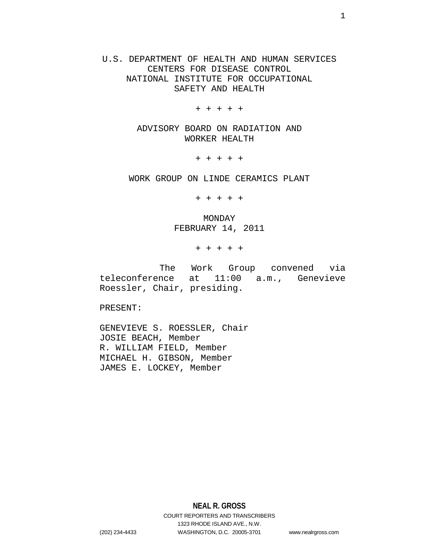U.S. DEPARTMENT OF HEALTH AND HUMAN SERVICES CENTERS FOR DISEASE CONTROL NATIONAL INSTITUTE FOR OCCUPATIONAL SAFETY AND HEALTH

+ + + + +

ADVISORY BOARD ON RADIATION AND WORKER HEALTH

+ + + + +

WORK GROUP ON LINDE CERAMICS PLANT

+ + + + +

MONDAY FEBRUARY 14, 2011

+ + + + +

 The Work Group convened via teleconference at 11:00 a.m., Genevieve Roessler, Chair, presiding.

PRESENT:

GENEVIEVE S. ROESSLER, Chair JOSIE BEACH, Member R. WILLIAM FIELD, Member MICHAEL H. GIBSON, Member JAMES E. LOCKEY, Member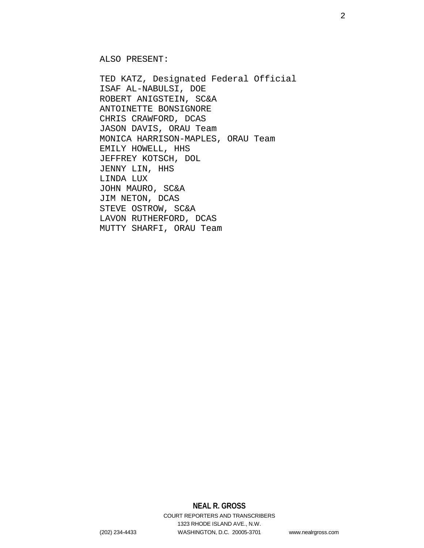ALSO PRESENT:

TED KATZ, Designated Federal Official ISAF AL-NABULSI, DOE ROBERT ANIGSTEIN, SC&A ANTOINETTE BONSIGNORE CHRIS CRAWFORD, DCAS JASON DAVIS, ORAU Team MONICA HARRISON-MAPLES, ORAU Team EMILY HOWELL, HHS JEFFREY KOTSCH, DOL JENNY LIN, HHS LINDA LUX JOHN MAURO, SC&A JIM NETON, DCAS STEVE OSTROW, SC&A LAVON RUTHERFORD, DCAS MUTTY SHARFI, ORAU Team

## **NEAL R. GROSS**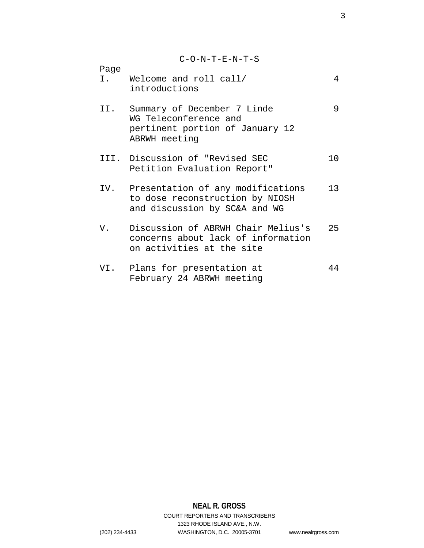C-O-N-T-E-N-T-S

| Page<br>I. | Welcome and roll call/<br>introductions                                                                  | 4   |
|------------|----------------------------------------------------------------------------------------------------------|-----|
| II.        | Summary of December 7 Linde<br>WG Teleconference and<br>pertinent portion of January 12<br>ABRWH meeting | 9   |
|            | III. Discussion of "Revised SEC<br>Petition Evaluation Report"                                           | 1 O |
| IV.        | Presentation of any modifications<br>to dose reconstruction by NIOSH<br>and discussion by SC&A and WG    | 13  |
| V.         | Discussion of ABRWH Chair Melius's<br>concerns about lack of information<br>on activities at the site    | 25  |
| VI.        | Plans for presentation at<br>February 24 ABRWH meeting                                                   | 44  |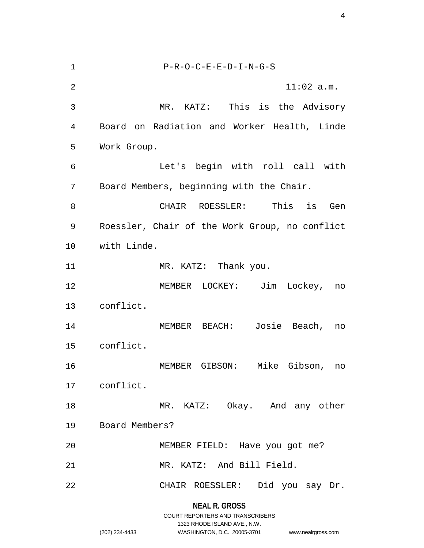**NEAL R. GROSS** 1 P-R-O-C-E-E-D-I-N-G-S 2 11:02 a.m. 3 MR. KATZ: This is the Advisory 4 Board on Radiation and Worker Health, Linde 5 Work Group. 6 Let's begin with roll call with 7 Board Members, beginning with the Chair. 8 CHAIR ROESSLER: This is Gen 9 Roessler, Chair of the Work Group, no conflict 10 with Linde. 11 MR. KATZ: Thank you. 12 MEMBER LOCKEY: Jim Lockey, no 13 conflict. 14 MEMBER BEACH: Josie Beach, no 15 conflict. 16 MEMBER GIBSON: Mike Gibson, no 17 conflict. 18 MR. KATZ: Okay. And any other 19 Board Members? 20 MEMBER FIELD: Have you got me? 21 MR. KATZ: And Bill Field. 22 CHAIR ROESSLER: Did you say Dr.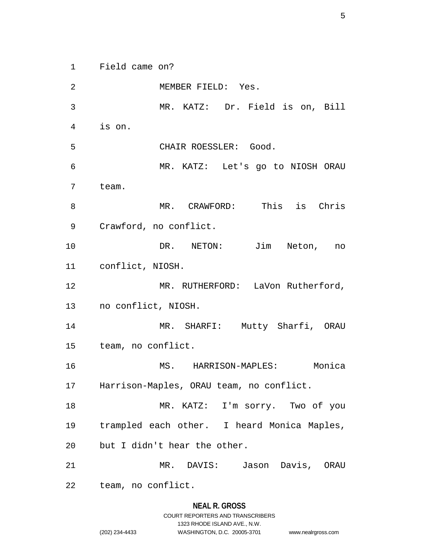1 Field came on?

2 MEMBER FIELD: Yes. 3 MR. KATZ: Dr. Field is on, Bill 4 is on. 5 CHAIR ROESSLER: Good. 6 MR. KATZ: Let's go to NIOSH ORAU 7 team. 8 MR. CRAWFORD: This is Chris 9 Crawford, no conflict. 10 DR. NETON: Jim Neton, no 11 conflict, NIOSH. 12 MR. RUTHERFORD: LaVon Rutherford, 13 no conflict, NIOSH. 14 MR. SHARFI: Mutty Sharfi, ORAU 15 team, no conflict. 16 MS. HARRISON-MAPLES: Monica 17 Harrison-Maples, ORAU team, no conflict. 18 MR. KATZ: I'm sorry. Two of you 19 trampled each other. I heard Monica Maples, 20 but I didn't hear the other. 21 MR. DAVIS: Jason Davis, ORAU 22 team, no conflict.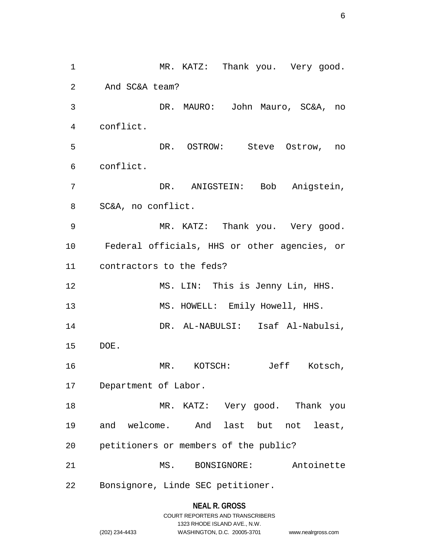1 MR. KATZ: Thank you. Very good. 2 And SC&A team? 3 DR. MAURO: John Mauro, SC&A, no 4 conflict. 5 DR. OSTROW: Steve Ostrow, no 6 conflict. 7 DR. ANIGSTEIN: Bob Anigstein, 8 SC&A, no conflict. 9 MR. KATZ: Thank you. Very good. 10 Federal officials, HHS or other agencies, or 11 contractors to the feds? 12 MS. LIN: This is Jenny Lin, HHS. 13 MS. HOWELL: Emily Howell, HHS. 14 DR. AL-NABULSI: Isaf Al-Nabulsi, 15 DOE. 16 MR. KOTSCH: Jeff Kotsch, 17 Department of Labor. 18 MR. KATZ: Very good. Thank you 19 and welcome. And last but not least, 20 petitioners or members of the public? 21 MS. BONSIGNORE: Antoinette 22 Bonsignore, Linde SEC petitioner.

## **NEAL R. GROSS**

|                | COURT REPORTERS AND TRANSCRIBERS |                    |
|----------------|----------------------------------|--------------------|
|                | 1323 RHODE ISLAND AVE N.W.       |                    |
| (202) 234-4433 | WASHINGTON, D.C. 20005-3701      | www.nealrgross.com |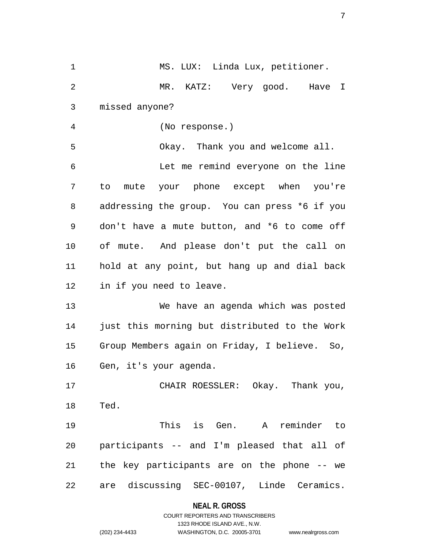1 MS. LUX: Linda Lux, petitioner. 2 MR. KATZ: Very good. Have I 3 missed anyone? 4 (No response.) 5 Okay. Thank you and welcome all. 6 Let me remind everyone on the line 7 to mute your phone except when you're 8 addressing the group. You can press \*6 if you 9 don't have a mute button, and \*6 to come off 10 of mute. And please don't put the call on 11 hold at any point, but hang up and dial back 12 in if you need to leave. 13 We have an agenda which was posted 14 just this morning but distributed to the Work 15 Group Members again on Friday, I believe. So, 16 Gen, it's your agenda. 17 CHAIR ROESSLER: Okay. Thank you, 18 Ted. 19 This is Gen. A reminder to 20 participants -- and I'm pleased that all of 21 the key participants are on the phone -- we 22 are discussing SEC-00107, Linde Ceramics.

## **NEAL R. GROSS**

## COURT REPORTERS AND TRANSCRIBERS 1323 RHODE ISLAND AVE., N.W. (202) 234-4433 WASHINGTON, D.C. 20005-3701 www.nealrgross.com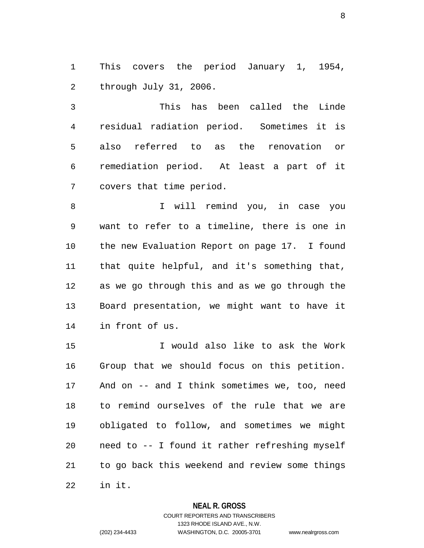1 This covers the period January 1, 1954, 2 through July 31, 2006.

3 This has been called the Linde 4 residual radiation period. Sometimes it is 5 also referred to as the renovation or 6 remediation period. At least a part of it 7 covers that time period.

8 I will remind you, in case you 9 want to refer to a timeline, there is one in 10 the new Evaluation Report on page 17. I found 11 that quite helpful, and it's something that, 12 as we go through this and as we go through the 13 Board presentation, we might want to have it 14 in front of us.

15 I would also like to ask the Work 16 Group that we should focus on this petition. 17 And on -- and I think sometimes we, too, need 18 to remind ourselves of the rule that we are 19 obligated to follow, and sometimes we might 20 need to -- I found it rather refreshing myself 21 to go back this weekend and review some things 22 in it.

## **NEAL R. GROSS**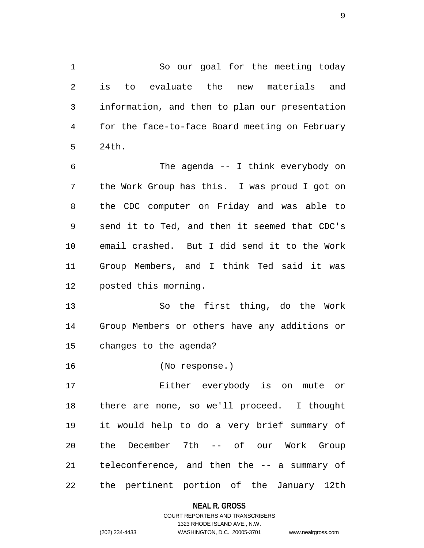1 So our goal for the meeting today 2 is to evaluate the new materials and 3 information, and then to plan our presentation 4 for the face-to-face Board meeting on February 5 24th.

6 The agenda -- I think everybody on 7 the Work Group has this. I was proud I got on 8 the CDC computer on Friday and was able to 9 send it to Ted, and then it seemed that CDC's 10 email crashed. But I did send it to the Work 11 Group Members, and I think Ted said it was 12 posted this morning.

13 So the first thing, do the Work 14 Group Members or others have any additions or 15 changes to the agenda?

16 (No response.)

17 Either everybody is on mute or 18 there are none, so we'll proceed. I thought 19 it would help to do a very brief summary of 20 the December 7th -- of our Work Group 21 teleconference, and then the -- a summary of 22 the pertinent portion of the January 12th

**NEAL R. GROSS**

## COURT REPORTERS AND TRANSCRIBERS 1323 RHODE ISLAND AVE., N.W. (202) 234-4433 WASHINGTON, D.C. 20005-3701 www.nealrgross.com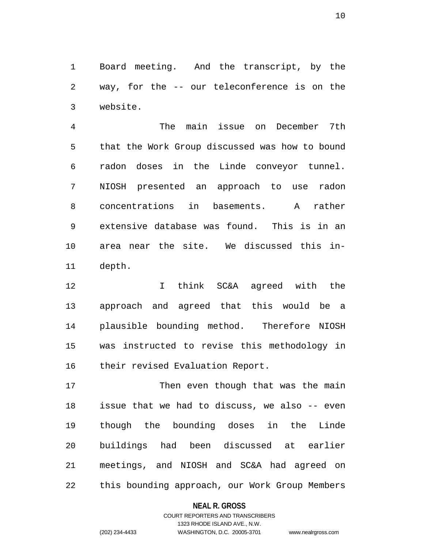1 Board meeting. And the transcript, by the 2 way, for the -- our teleconference is on the 3 website.

4 The main issue on December 7th 5 that the Work Group discussed was how to bound 6 radon doses in the Linde conveyor tunnel. 7 NIOSH presented an approach to use radon 8 concentrations in basements. A rather 9 extensive database was found. This is in an 10 area near the site. We discussed this in-11 depth.

12 I think SC&A agreed with the 13 approach and agreed that this would be a 14 plausible bounding method. Therefore NIOSH 15 was instructed to revise this methodology in 16 their revised Evaluation Report.

17 Then even though that was the main 18 issue that we had to discuss, we also -- even 19 though the bounding doses in the Linde 20 buildings had been discussed at earlier 21 meetings, and NIOSH and SC&A had agreed on 22 this bounding approach, our Work Group Members

## **NEAL R. GROSS**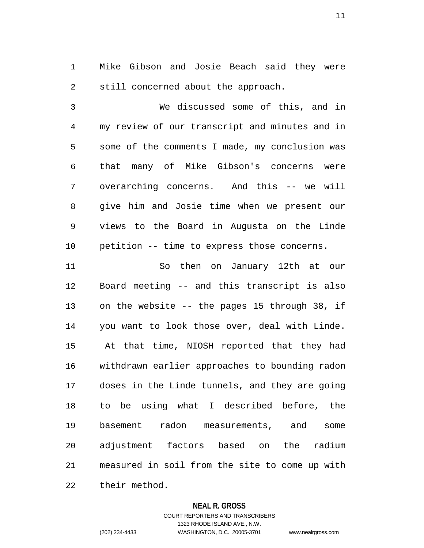1 Mike Gibson and Josie Beach said they were 2 still concerned about the approach.

3 We discussed some of this, and in 4 my review of our transcript and minutes and in 5 some of the comments I made, my conclusion was 6 that many of Mike Gibson's concerns were 7 overarching concerns. And this -- we will 8 give him and Josie time when we present our 9 views to the Board in Augusta on the Linde 10 petition -- time to express those concerns.

11 So then on January 12th at our 12 Board meeting -- and this transcript is also 13 on the website -- the pages 15 through 38, if 14 you want to look those over, deal with Linde. 15 At that time, NIOSH reported that they had 16 withdrawn earlier approaches to bounding radon 17 doses in the Linde tunnels, and they are going 18 to be using what I described before, the 19 basement radon measurements, and some 20 adjustment factors based on the radium 21 measured in soil from the site to come up with

22 their method.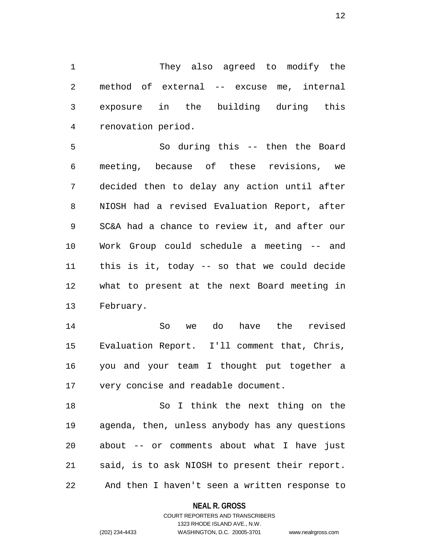1 They also agreed to modify the 2 method of external -- excuse me, internal 3 exposure in the building during this 4 renovation period.

5 So during this -- then the Board 6 meeting, because of these revisions, we 7 decided then to delay any action until after 8 NIOSH had a revised Evaluation Report, after 9 SC&A had a chance to review it, and after our 10 Work Group could schedule a meeting -- and 11 this is it, today -- so that we could decide 12 what to present at the next Board meeting in 13 February.

14 So we do have the revised 15 Evaluation Report. I'll comment that, Chris, 16 you and your team I thought put together a 17 very concise and readable document.

18 So I think the next thing on the 19 agenda, then, unless anybody has any questions 20 about -- or comments about what I have just 21 said, is to ask NIOSH to present their report. 22 And then I haven't seen a written response to

## **NEAL R. GROSS**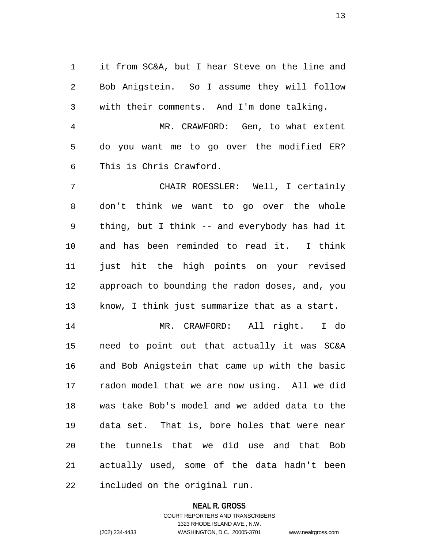1 it from SC&A, but I hear Steve on the line and 2 Bob Anigstein. So I assume they will follow 3 with their comments. And I'm done talking. 4 MR. CRAWFORD: Gen, to what extent

5 do you want me to go over the modified ER? 6 This is Chris Crawford.

7 CHAIR ROESSLER: Well, I certainly 8 don't think we want to go over the whole 9 thing, but I think -- and everybody has had it 10 and has been reminded to read it. I think 11 just hit the high points on your revised 12 approach to bounding the radon doses, and, you 13 know, I think just summarize that as a start.

14 MR. CRAWFORD: All right. I do 15 need to point out that actually it was SC&A 16 and Bob Anigstein that came up with the basic 17 radon model that we are now using. All we did 18 was take Bob's model and we added data to the 19 data set. That is, bore holes that were near 20 the tunnels that we did use and that Bob 21 actually used, some of the data hadn't been 22 included on the original run.

## **NEAL R. GROSS**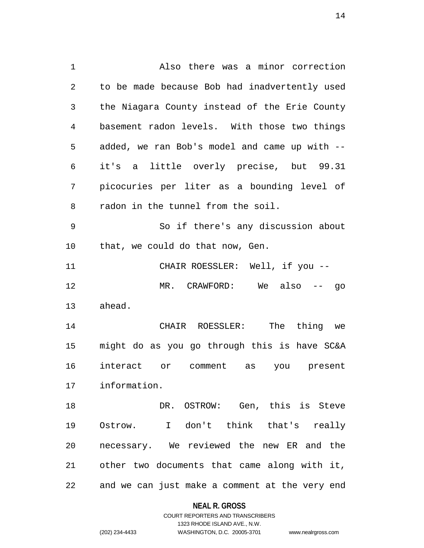1 Also there was a minor correction 2 to be made because Bob had inadvertently used 3 the Niagara County instead of the Erie County 4 basement radon levels. With those two things 5 added, we ran Bob's model and came up with -- 6 it's a little overly precise, but 99.31 7 picocuries per liter as a bounding level of 8 radon in the tunnel from the soil. 9 So if there's any discussion about 10 that, we could do that now, Gen. 11 CHAIR ROESSLER: Well, if you -- 12 MR. CRAWFORD: We also -- go 13 ahead. 14 CHAIR ROESSLER: The thing we 15 might do as you go through this is have SC&A 16 interact or comment as you present 17 information. 18 DR. OSTROW: Gen, this is Steve 19 Ostrow. I don't think that's really 20 necessary. We reviewed the new ER and the 21 other two documents that came along with it, 22 and we can just make a comment at the very end

#### **NEAL R. GROSS**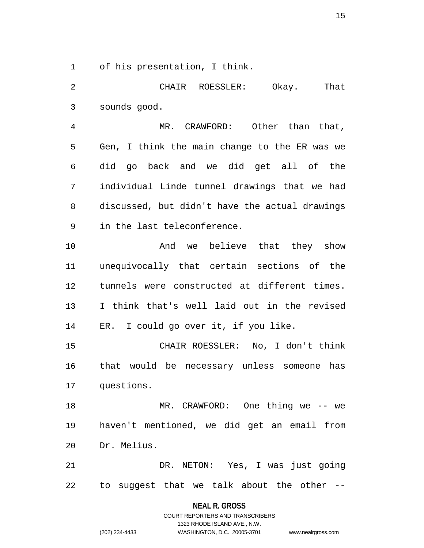1 of his presentation, I think.

2 CHAIR ROESSLER: Okay. That 3 sounds good.

4 MR. CRAWFORD: Other than that, 5 Gen, I think the main change to the ER was we 6 did go back and we did get all of the 7 individual Linde tunnel drawings that we had 8 discussed, but didn't have the actual drawings 9 in the last teleconference.

10 And we believe that they show 11 unequivocally that certain sections of the 12 tunnels were constructed at different times. 13 I think that's well laid out in the revised 14 ER. I could go over it, if you like.

15 CHAIR ROESSLER: No, I don't think 16 that would be necessary unless someone has 17 questions.

18 MR. CRAWFORD: One thing we -- we 19 haven't mentioned, we did get an email from 20 Dr. Melius.

21 DR. NETON: Yes, I was just going 22 to suggest that we talk about the other --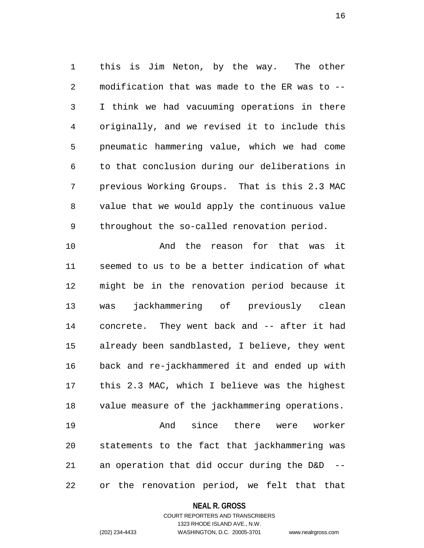1 this is Jim Neton, by the way. The other 2 modification that was made to the ER was to -- 3 I think we had vacuuming operations in there 4 originally, and we revised it to include this 5 pneumatic hammering value, which we had come 6 to that conclusion during our deliberations in 7 previous Working Groups. That is this 2.3 MAC 8 value that we would apply the continuous value 9 throughout the so-called renovation period.

10 And the reason for that was it 11 seemed to us to be a better indication of what 12 might be in the renovation period because it 13 was jackhammering of previously clean 14 concrete. They went back and -- after it had 15 already been sandblasted, I believe, they went 16 back and re-jackhammered it and ended up with 17 this 2.3 MAC, which I believe was the highest 18 value measure of the jackhammering operations. 19 And since there were worker 20 statements to the fact that jackhammering was 21 an operation that did occur during the D&D -- 22 or the renovation period, we felt that that

## **NEAL R. GROSS**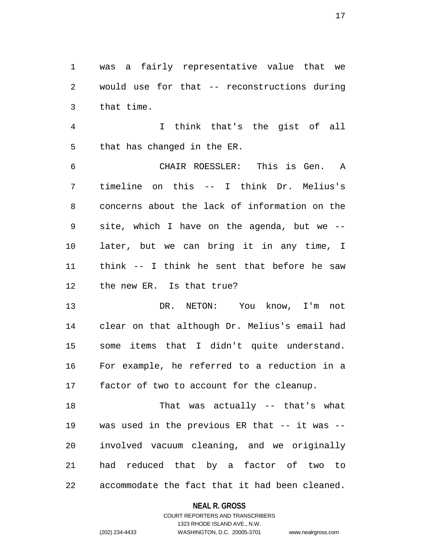1 was a fairly representative value that we 2 would use for that -- reconstructions during 3 that time.

4 I think that's the gist of all 5 that has changed in the ER.

6 CHAIR ROESSLER: This is Gen. A 7 timeline on this -- I think Dr. Melius's 8 concerns about the lack of information on the 9 site, which I have on the agenda, but we -- 10 later, but we can bring it in any time, I 11 think -- I think he sent that before he saw 12 the new ER. Is that true?

13 DR. NETON: You know, I'm not 14 clear on that although Dr. Melius's email had 15 some items that I didn't quite understand. 16 For example, he referred to a reduction in a 17 factor of two to account for the cleanup.

18 That was actually -- that's what 19 was used in the previous ER that -- it was -- 20 involved vacuum cleaning, and we originally 21 had reduced that by a factor of two to 22 accommodate the fact that it had been cleaned.

## **NEAL R. GROSS**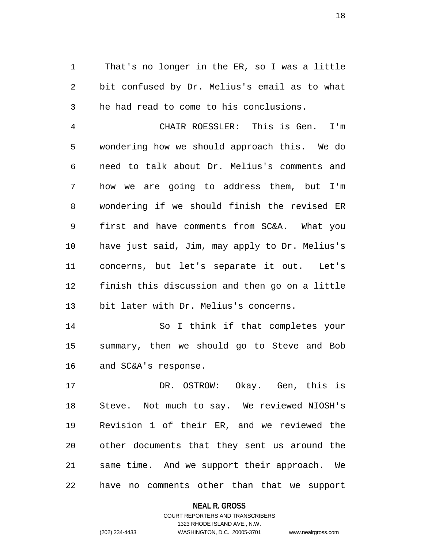1 That's no longer in the ER, so I was a little 2 bit confused by Dr. Melius's email as to what 3 he had read to come to his conclusions.

4 CHAIR ROESSLER: This is Gen. I'm 5 wondering how we should approach this. We do 6 need to talk about Dr. Melius's comments and 7 how we are going to address them, but I'm 8 wondering if we should finish the revised ER 9 first and have comments from SC&A. What you 10 have just said, Jim, may apply to Dr. Melius's 11 concerns, but let's separate it out. Let's 12 finish this discussion and then go on a little 13 bit later with Dr. Melius's concerns.

14 So I think if that completes your 15 summary, then we should go to Steve and Bob 16 and SC&A's response.

17 DR. OSTROW: Okay. Gen, this is 18 Steve. Not much to say. We reviewed NIOSH's 19 Revision 1 of their ER, and we reviewed the 20 other documents that they sent us around the 21 same time. And we support their approach. We 22 have no comments other than that we support

**NEAL R. GROSS**

COURT REPORTERS AND TRANSCRIBERS 1323 RHODE ISLAND AVE., N.W. (202) 234-4433 WASHINGTON, D.C. 20005-3701 www.nealrgross.com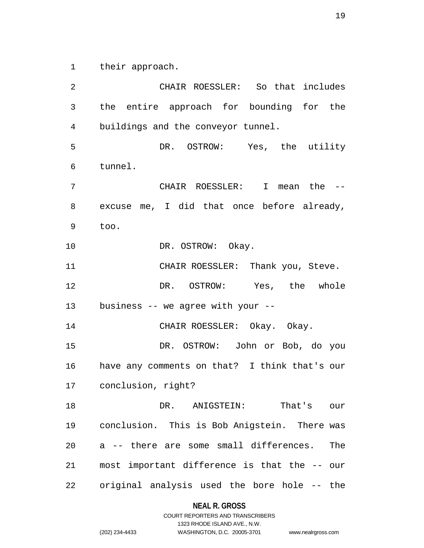1 their approach.

2 CHAIR ROESSLER: So that includes 3 the entire approach for bounding for the 4 buildings and the conveyor tunnel. 5 DR. OSTROW: Yes, the utility 6 tunnel. 7 CHAIR ROESSLER: I mean the -- 8 excuse me, I did that once before already, 9 too. 10 DR. OSTROW: Okay. 11 CHAIR ROESSLER: Thank you, Steve. 12 DR. OSTROW: Yes, the whole 13 business -- we agree with your -- 14 CHAIR ROESSLER: Okay. Okay. 15 DR. OSTROW: John or Bob, do you 16 have any comments on that? I think that's our 17 conclusion, right? 18 DR. ANIGSTEIN: That's our 19 conclusion. This is Bob Anigstein. There was 20 a -- there are some small differences. The 21 most important difference is that the -- our 22 original analysis used the bore hole -- the

> **NEAL R. GROSS** COURT REPORTERS AND TRANSCRIBERS

> > 1323 RHODE ISLAND AVE., N.W.

```
(202) 234-4433 WASHINGTON, D.C. 20005-3701 www.nealrgross.com
```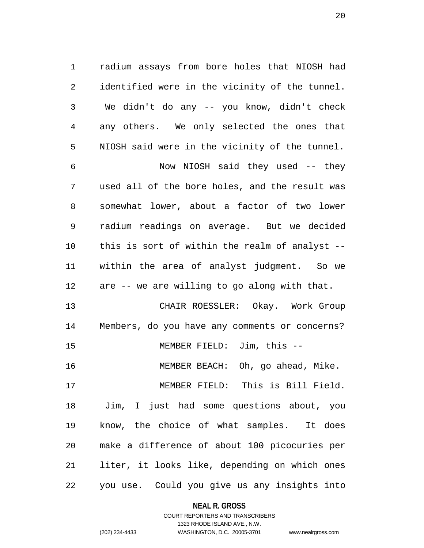1 radium assays from bore holes that NIOSH had 2 identified were in the vicinity of the tunnel. 3 We didn't do any -- you know, didn't check 4 any others. We only selected the ones that 5 NIOSH said were in the vicinity of the tunnel.

6 Now NIOSH said they used -- they 7 used all of the bore holes, and the result was 8 somewhat lower, about a factor of two lower 9 radium readings on average. But we decided 10 this is sort of within the realm of analyst -- 11 within the area of analyst judgment. So we 12 are -- we are willing to go along with that.

13 CHAIR ROESSLER: Okay. Work Group 14 Members, do you have any comments or concerns? 15 MEMBER FIELD: Jim, this -- 16 MEMBER BEACH: Oh, go ahead, Mike. 17 MEMBER FIELD: This is Bill Field. 18 Jim, I just had some questions about, you 19 know, the choice of what samples. It does 20 make a difference of about 100 picocuries per 21 liter, it looks like, depending on which ones 22 you use. Could you give us any insights into

## **NEAL R. GROSS**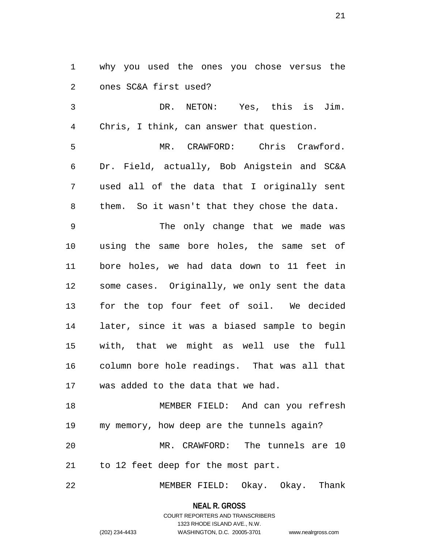1 why you used the ones you chose versus the 2 ones SC&A first used?

3 DR. NETON: Yes, this is Jim. 4 Chris, I think, can answer that question.

5 MR. CRAWFORD: Chris Crawford. 6 Dr. Field, actually, Bob Anigstein and SC&A 7 used all of the data that I originally sent 8 them. So it wasn't that they chose the data.

9 The only change that we made was 10 using the same bore holes, the same set of 11 bore holes, we had data down to 11 feet in 12 some cases. Originally, we only sent the data 13 for the top four feet of soil. We decided 14 later, since it was a biased sample to begin 15 with, that we might as well use the full 16 column bore hole readings. That was all that 17 was added to the data that we had.

18 MEMBER FIELD: And can you refresh 19 my memory, how deep are the tunnels again? 20 MR. CRAWFORD: The tunnels are 10 21 to 12 feet deep for the most part.

22 MEMBER FIELD: Okay. Okay. Thank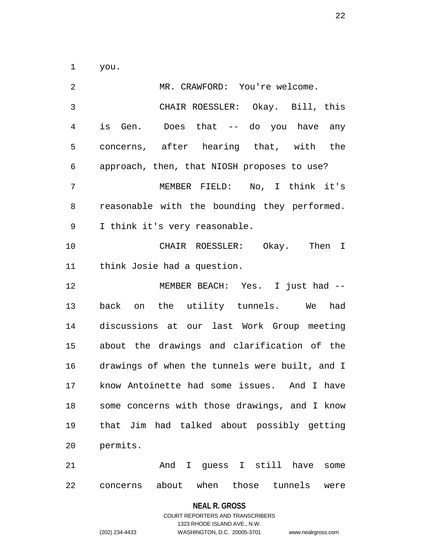1 you.

2 MR. CRAWFORD: You're welcome. 3 CHAIR ROESSLER: Okay. Bill, this 4 is Gen. Does that -- do you have any 5 concerns, after hearing that, with the 6 approach, then, that NIOSH proposes to use? 7 MEMBER FIELD: No, I think it's 8 reasonable with the bounding they performed. 9 I think it's very reasonable. 10 CHAIR ROESSLER: Okay. Then I 11 think Josie had a question. 12 MEMBER BEACH: Yes. I just had -- 13 back on the utility tunnels. We had 14 discussions at our last Work Group meeting 15 about the drawings and clarification of the 16 drawings of when the tunnels were built, and I 17 know Antoinette had some issues. And I have 18 some concerns with those drawings, and I know 19 that Jim had talked about possibly getting 20 permits. 21 And I guess I still have some

22 concerns about when those tunnels were

#### **NEAL R. GROSS**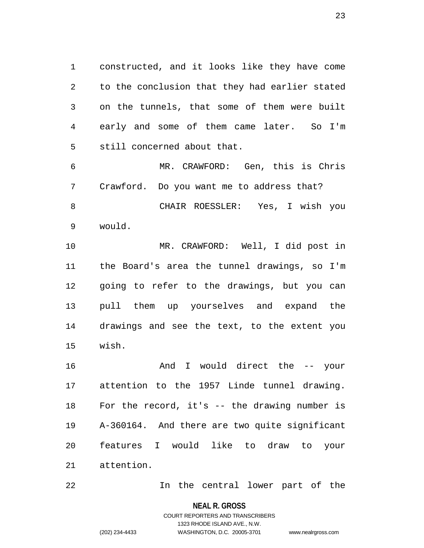1 constructed, and it looks like they have come 2 to the conclusion that they had earlier stated 3 on the tunnels, that some of them were built 4 early and some of them came later. So I'm 5 still concerned about that.

6 MR. CRAWFORD: Gen, this is Chris 7 Crawford. Do you want me to address that? 8 CHAIR ROESSLER: Yes, I wish you 9 would.

10 MR. CRAWFORD: Well, I did post in 11 the Board's area the tunnel drawings, so I'm 12 going to refer to the drawings, but you can 13 pull them up yourselves and expand the 14 drawings and see the text, to the extent you 15 wish.

16 And I would direct the -- your 17 attention to the 1957 Linde tunnel drawing. 18 For the record, it's -- the drawing number is 19 A-360164. And there are two quite significant 20 features I would like to draw to your 21 attention.

22 In the central lower part of the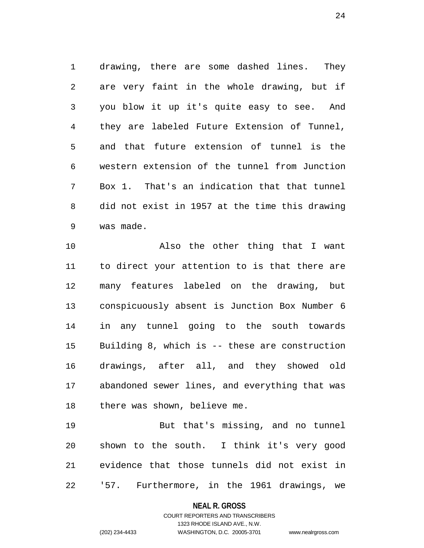1 drawing, there are some dashed lines. They 2 are very faint in the whole drawing, but if 3 you blow it up it's quite easy to see. And 4 they are labeled Future Extension of Tunnel, 5 and that future extension of tunnel is the 6 western extension of the tunnel from Junction 7 Box 1. That's an indication that that tunnel 8 did not exist in 1957 at the time this drawing 9 was made.

10 Also the other thing that I want 11 to direct your attention to is that there are 12 many features labeled on the drawing, but 13 conspicuously absent is Junction Box Number 6 14 in any tunnel going to the south towards 15 Building 8, which is -- these are construction 16 drawings, after all, and they showed old 17 abandoned sewer lines, and everything that was 18 there was shown, believe me.

19 But that's missing, and no tunnel 20 shown to the south. I think it's very good 21 evidence that those tunnels did not exist in 22 '57. Furthermore, in the 1961 drawings, we

> **NEAL R. GROSS** COURT REPORTERS AND TRANSCRIBERS

> > 1323 RHODE ISLAND AVE., N.W.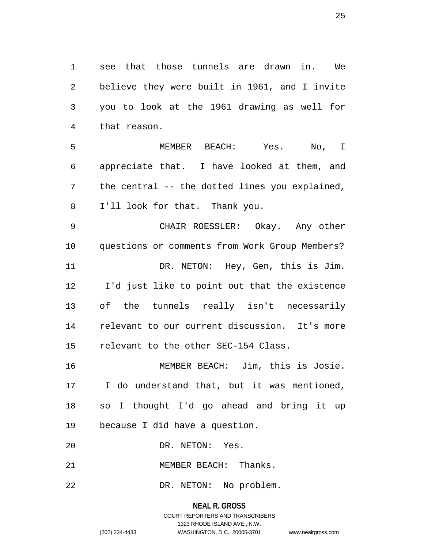1 see that those tunnels are drawn in. We 2 believe they were built in 1961, and I invite 3 you to look at the 1961 drawing as well for 4 that reason.

5 MEMBER BEACH: Yes. No, I 6 appreciate that. I have looked at them, and 7 the central -- the dotted lines you explained, 8 I'll look for that. Thank you.

9 CHAIR ROESSLER: Okay. Any other 10 questions or comments from Work Group Members? 11 DR. NETON: Hey, Gen, this is Jim. 12 I'd just like to point out that the existence 13 of the tunnels really isn't necessarily 14 relevant to our current discussion. It's more 15 relevant to the other SEC-154 Class.

16 MEMBER BEACH: Jim, this is Josie. 17 I do understand that, but it was mentioned, 18 so I thought I'd go ahead and bring it up 19 because I did have a question.

20 DR. NETON: Yes.

21 MEMBER BEACH: Thanks.

22 DR. NETON: No problem.

**NEAL R. GROSS** COURT REPORTERS AND TRANSCRIBERS 1323 RHODE ISLAND AVE., N.W. (202) 234-4433 WASHINGTON, D.C. 20005-3701 www.nealrgross.com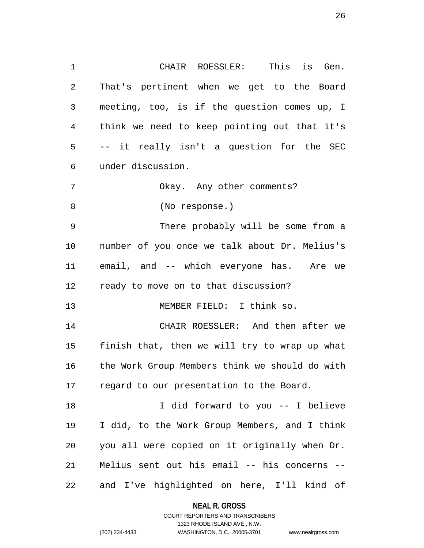1 CHAIR ROESSLER: This is Gen. 2 That's pertinent when we get to the Board 3 meeting, too, is if the question comes up, I 4 think we need to keep pointing out that it's 5 -- it really isn't a question for the SEC 6 under discussion. 7 Okay. Any other comments? 8 (No response.) 9 There probably will be some from a 10 number of you once we talk about Dr. Melius's 11 email, and -- which everyone has. Are we 12 ready to move on to that discussion? 13 MEMBER FIELD: I think so. 14 CHAIR ROESSLER: And then after we 15 finish that, then we will try to wrap up what 16 the Work Group Members think we should do with 17 regard to our presentation to the Board. 18 I did forward to you -- I believe 19 I did, to the Work Group Members, and I think 20 you all were copied on it originally when Dr. 21 Melius sent out his email -- his concerns --

22 and I've highlighted on here, I'll kind of

#### **NEAL R. GROSS**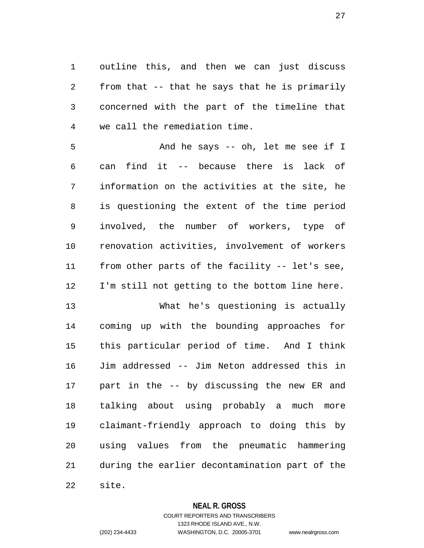1 outline this, and then we can just discuss 2 from that -- that he says that he is primarily 3 concerned with the part of the timeline that 4 we call the remediation time.

5 And he says -- oh, let me see if I 6 can find it -- because there is lack of 7 information on the activities at the site, he 8 is questioning the extent of the time period 9 involved, the number of workers, type of 10 renovation activities, involvement of workers 11 from other parts of the facility -- let's see, 12 I'm still not getting to the bottom line here.

13 What he's questioning is actually 14 coming up with the bounding approaches for 15 this particular period of time. And I think 16 Jim addressed -- Jim Neton addressed this in 17 part in the -- by discussing the new ER and 18 talking about using probably a much more 19 claimant-friendly approach to doing this by 20 using values from the pneumatic hammering 21 during the earlier decontamination part of the 22 site.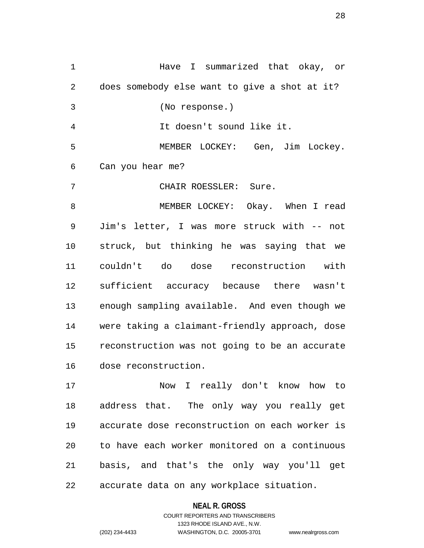1 Have I summarized that okay, or 2 does somebody else want to give a shot at it? 3 (No response.) 4 It doesn't sound like it. 5 MEMBER LOCKEY: Gen, Jim Lockey. 6 Can you hear me? 7 CHAIR ROESSLER: Sure. 8 MEMBER LOCKEY: Okay. When I read 9 Jim's letter, I was more struck with -- not 10 struck, but thinking he was saying that we 11 couldn't do dose reconstruction with 12 sufficient accuracy because there wasn't 13 enough sampling available. And even though we 14 were taking a claimant-friendly approach, dose 15 reconstruction was not going to be an accurate 16 dose reconstruction. 17 Now I really don't know how to

18 address that. The only way you really get 19 accurate dose reconstruction on each worker is 20 to have each worker monitored on a continuous 21 basis, and that's the only way you'll get 22 accurate data on any workplace situation.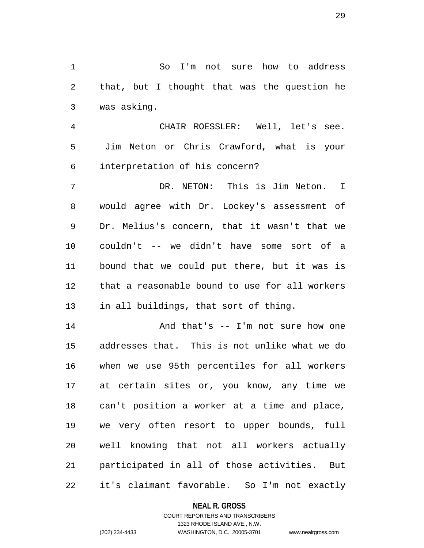1 So I'm not sure how to address 2 that, but I thought that was the question he 3 was asking.

4 CHAIR ROESSLER: Well, let's see. 5 Jim Neton or Chris Crawford, what is your 6 interpretation of his concern?

7 DR. NETON: This is Jim Neton. I 8 would agree with Dr. Lockey's assessment of 9 Dr. Melius's concern, that it wasn't that we 10 couldn't -- we didn't have some sort of a 11 bound that we could put there, but it was is 12 that a reasonable bound to use for all workers 13 in all buildings, that sort of thing.

14 And that's -- I'm not sure how one 15 addresses that. This is not unlike what we do 16 when we use 95th percentiles for all workers 17 at certain sites or, you know, any time we 18 can't position a worker at a time and place, 19 we very often resort to upper bounds, full 20 well knowing that not all workers actually 21 participated in all of those activities. But 22 it's claimant favorable. So I'm not exactly

**NEAL R. GROSS**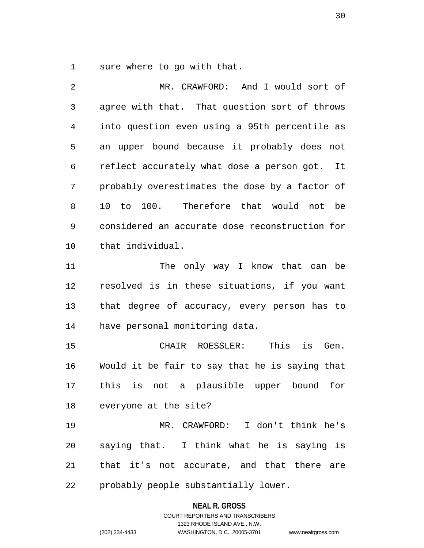1 sure where to go with that.

2 MR. CRAWFORD: And I would sort of 3 agree with that. That question sort of throws 4 into question even using a 95th percentile as 5 an upper bound because it probably does not 6 reflect accurately what dose a person got. It 7 probably overestimates the dose by a factor of 8 10 to 100. Therefore that would not be 9 considered an accurate dose reconstruction for 10 that individual. 11 The only way I know that can be 12 resolved is in these situations, if you want

13 that degree of accuracy, every person has to 14 have personal monitoring data.

15 CHAIR ROESSLER: This is Gen. 16 Would it be fair to say that he is saying that 17 this is not a plausible upper bound for 18 everyone at the site?

19 MR. CRAWFORD: I don't think he's 20 saying that. I think what he is saying is 21 that it's not accurate, and that there are 22 probably people substantially lower.

**NEAL R. GROSS**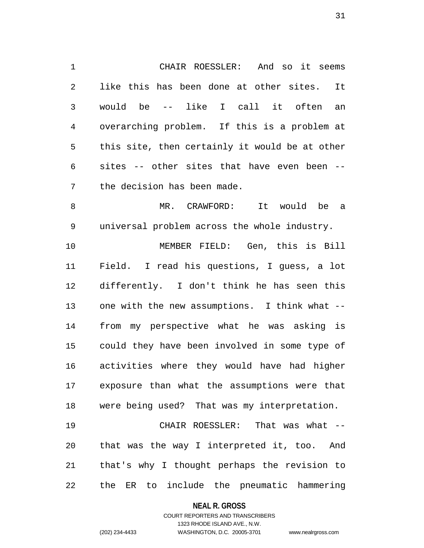1 CHAIR ROESSLER: And so it seems 2 like this has been done at other sites. It 3 would be -- like I call it often an 4 overarching problem. If this is a problem at 5 this site, then certainly it would be at other 6 sites -- other sites that have even been -- 7 the decision has been made.

8 MR. CRAWFORD: It would be a 9 universal problem across the whole industry.

10 MEMBER FIELD: Gen, this is Bill 11 Field. I read his questions, I guess, a lot 12 differently. I don't think he has seen this 13 one with the new assumptions. I think what -- 14 from my perspective what he was asking is 15 could they have been involved in some type of 16 activities where they would have had higher 17 exposure than what the assumptions were that 18 were being used? That was my interpretation.

19 CHAIR ROESSLER: That was what -- 20 that was the way I interpreted it, too. And 21 that's why I thought perhaps the revision to 22 the ER to include the pneumatic hammering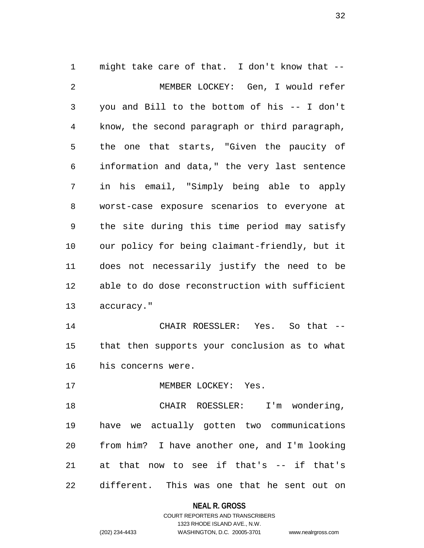1 might take care of that. I don't know that -- 2 MEMBER LOCKEY: Gen, I would refer 3 you and Bill to the bottom of his -- I don't 4 know, the second paragraph or third paragraph, 5 the one that starts, "Given the paucity of 6 information and data," the very last sentence 7 in his email, "Simply being able to apply 8 worst-case exposure scenarios to everyone at 9 the site during this time period may satisfy 10 our policy for being claimant-friendly, but it 11 does not necessarily justify the need to be 12 able to do dose reconstruction with sufficient 13 accuracy." 14 CHAIR ROESSLER: Yes. So that -- 15 that then supports your conclusion as to what 16 his concerns were. 17 MEMBER LOCKEY: Yes. 18 CHAIR ROESSLER: I'm wondering, 19 have we actually gotten two communications

20 from him? I have another one, and I'm looking 21 at that now to see if that's -- if that's 22 different. This was one that he sent out on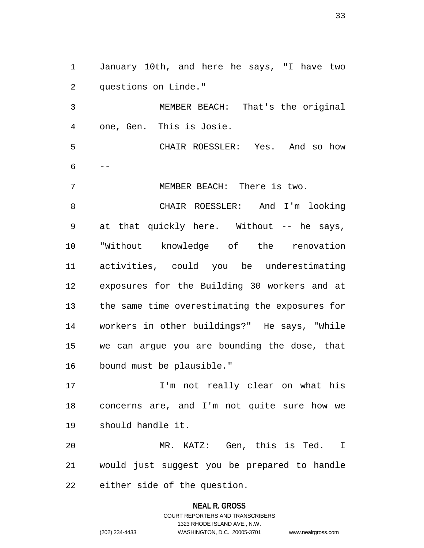1 January 10th, and here he says, "I have two 2 questions on Linde."

3 MEMBER BEACH: That's the original 4 one, Gen. This is Josie.

5 CHAIR ROESSLER: Yes. And so how  $6 - -$ 

7 MEMBER BEACH: There is two.

8 CHAIR ROESSLER: And I'm looking 9 at that quickly here. Without -- he says, 10 "Without knowledge of the renovation 11 activities, could you be underestimating 12 exposures for the Building 30 workers and at 13 the same time overestimating the exposures for 14 workers in other buildings?" He says, "While 15 we can argue you are bounding the dose, that 16 bound must be plausible."

17 I'm not really clear on what his 18 concerns are, and I'm not quite sure how we 19 should handle it.

20 MR. KATZ: Gen, this is Ted. I 21 would just suggest you be prepared to handle 22 either side of the question.

#### **NEAL R. GROSS**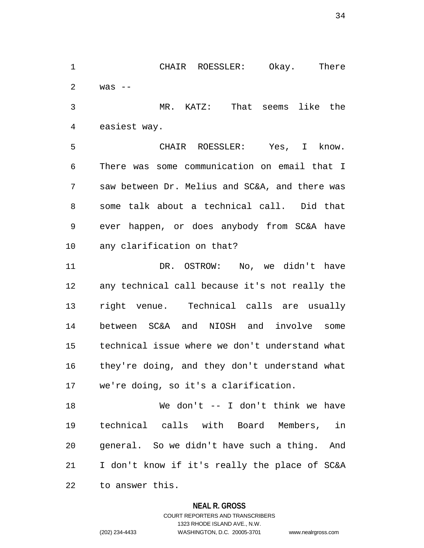1 CHAIR ROESSLER: Okay. There 2 was --

3 MR. KATZ: That seems like the 4 easiest way.

5 CHAIR ROESSLER: Yes, I know. 6 There was some communication on email that I 7 saw between Dr. Melius and SC&A, and there was 8 some talk about a technical call. Did that 9 ever happen, or does anybody from SC&A have 10 any clarification on that?

11 DR. OSTROW: No, we didn't have 12 any technical call because it's not really the 13 right venue. Technical calls are usually 14 between SC&A and NIOSH and involve some 15 technical issue where we don't understand what 16 they're doing, and they don't understand what 17 we're doing, so it's a clarification.

18 We don't -- I don't think we have 19 technical calls with Board Members, in 20 general. So we didn't have such a thing. And 21 I don't know if it's really the place of SC&A 22 to answer this.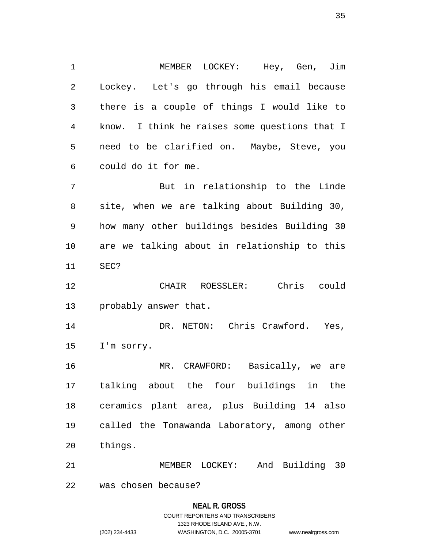1 MEMBER LOCKEY: Hey, Gen, Jim 2 Lockey. Let's go through his email because 3 there is a couple of things I would like to 4 know. I think he raises some questions that I 5 need to be clarified on. Maybe, Steve, you 6 could do it for me.

7 But in relationship to the Linde 8 site, when we are talking about Building 30, 9 how many other buildings besides Building 30 10 are we talking about in relationship to this 11 SEC?

12 CHAIR ROESSLER: Chris could 13 probably answer that.

14 DR. NETON: Chris Crawford. Yes, 15 I'm sorry.

16 MR. CRAWFORD: Basically, we are 17 talking about the four buildings in the 18 ceramics plant area, plus Building 14 also 19 called the Tonawanda Laboratory, among other 20 things.

21 MEMBER LOCKEY: And Building 30

22 was chosen because?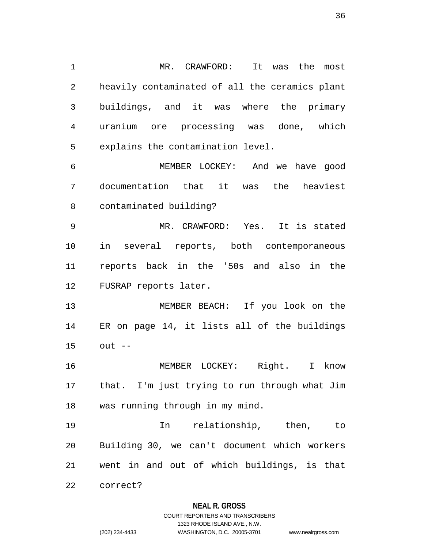1 MR. CRAWFORD: It was the most 2 heavily contaminated of all the ceramics plant 3 buildings, and it was where the primary 4 uranium ore processing was done, which 5 explains the contamination level. 6 MEMBER LOCKEY: And we have good 7 documentation that it was the heaviest 8 contaminated building? 9 MR. CRAWFORD: Yes. It is stated 10 in several reports, both contemporaneous 11 reports back in the '50s and also in the 12 FUSRAP reports later. 13 MEMBER BEACH: If you look on the 14 ER on page 14, it lists all of the buildings 15 out -- 16 MEMBER LOCKEY: Right. I know 17 that. I'm just trying to run through what Jim 18 was running through in my mind.

19 In relationship, then, to 20 Building 30, we can't document which workers 21 went in and out of which buildings, is that

22 correct?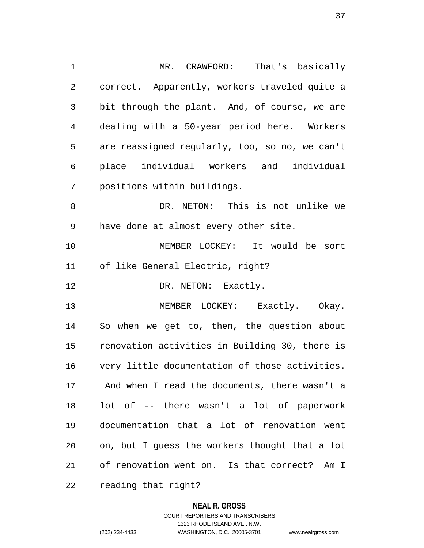1 MR. CRAWFORD: That's basically 2 correct. Apparently, workers traveled quite a 3 bit through the plant. And, of course, we are 4 dealing with a 50-year period here. Workers 5 are reassigned regularly, too, so no, we can't 6 place individual workers and individual 7 positions within buildings. 8 DR. NETON: This is not unlike we 9 have done at almost every other site. 10 MEMBER LOCKEY: It would be sort 11 of like General Electric, right? 12 DR. NETON: Exactly. 13 MEMBER LOCKEY: Exactly. Okay. 14 So when we get to, then, the question about 15 renovation activities in Building 30, there is 16 very little documentation of those activities. 17 And when I read the documents, there wasn't a 18 lot of -- there wasn't a lot of paperwork 19 documentation that a lot of renovation went 20 on, but I guess the workers thought that a lot 21 of renovation went on. Is that correct? Am I 22 reading that right?

#### **NEAL R. GROSS**

COURT REPORTERS AND TRANSCRIBERS 1323 RHODE ISLAND AVE., N.W. (202) 234-4433 WASHINGTON, D.C. 20005-3701 www.nealrgross.com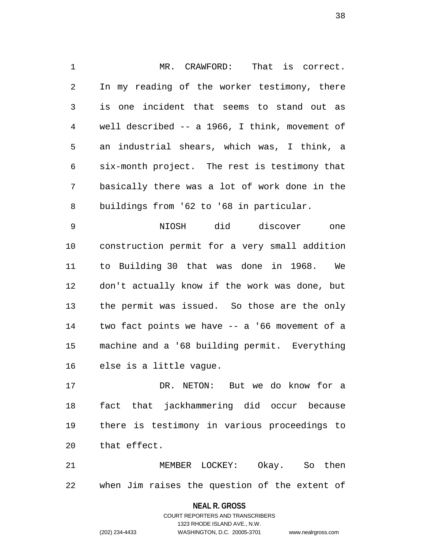1 MR. CRAWFORD: That is correct. 2 In my reading of the worker testimony, there 3 is one incident that seems to stand out as 4 well described -- a 1966, I think, movement of 5 an industrial shears, which was, I think, a 6 six-month project. The rest is testimony that 7 basically there was a lot of work done in the 8 buildings from '62 to '68 in particular.

9 NIOSH did discover one 10 construction permit for a very small addition 11 to Building 30 that was done in 1968. We 12 don't actually know if the work was done, but 13 the permit was issued. So those are the only 14 two fact points we have -- a '66 movement of a 15 machine and a '68 building permit. Everything 16 else is a little vague.

17 DR. NETON: But we do know for a 18 fact that jackhammering did occur because 19 there is testimony in various proceedings to 20 that effect.

21 MEMBER LOCKEY: Okay. So then 22 when Jim raises the question of the extent of

**NEAL R. GROSS**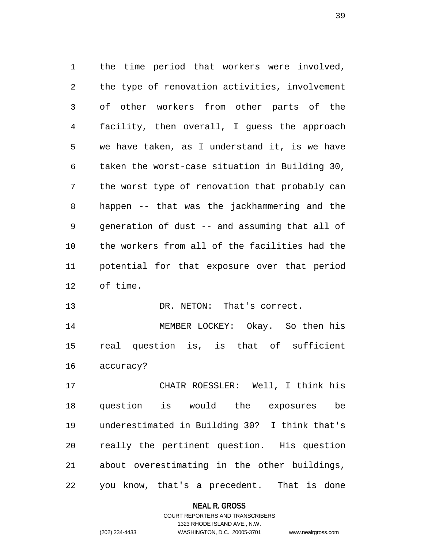1 the time period that workers were involved, 2 the type of renovation activities, involvement 3 of other workers from other parts of the 4 facility, then overall, I guess the approach 5 we have taken, as I understand it, is we have 6 taken the worst-case situation in Building 30, 7 the worst type of renovation that probably can 8 happen -- that was the jackhammering and the 9 generation of dust -- and assuming that all of 10 the workers from all of the facilities had the 11 potential for that exposure over that period 12 of time.

13 DR. NETON: That's correct.

14 MEMBER LOCKEY: Okay. So then his 15 real question is, is that of sufficient 16 accuracy?

17 CHAIR ROESSLER: Well, I think his 18 question is would the exposures be 19 underestimated in Building 30? I think that's 20 really the pertinent question. His question 21 about overestimating in the other buildings, 22 you know, that's a precedent. That is done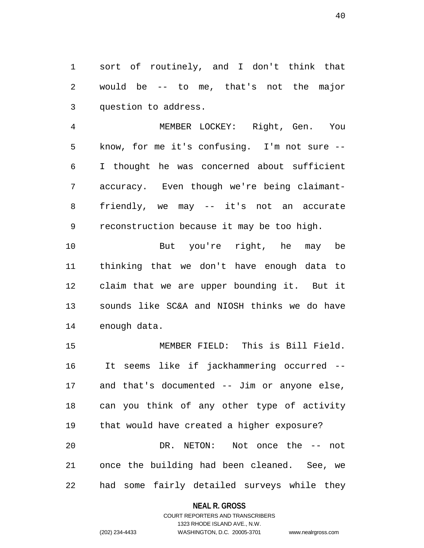1 sort of routinely, and I don't think that 2 would be -- to me, that's not the major 3 question to address.

4 MEMBER LOCKEY: Right, Gen. You 5 know, for me it's confusing. I'm not sure -- 6 I thought he was concerned about sufficient 7 accuracy. Even though we're being claimant-8 friendly, we may -- it's not an accurate 9 reconstruction because it may be too high.

10 But you're right, he may be 11 thinking that we don't have enough data to 12 claim that we are upper bounding it. But it 13 sounds like SC&A and NIOSH thinks we do have 14 enough data.

15 MEMBER FIELD: This is Bill Field. 16 It seems like if jackhammering occurred -- 17 and that's documented -- Jim or anyone else, 18 can you think of any other type of activity 19 that would have created a higher exposure? 20 DR. NETON: Not once the -- not 21 once the building had been cleaned. See, we 22 had some fairly detailed surveys while they

## **NEAL R. GROSS**

## COURT REPORTERS AND TRANSCRIBERS 1323 RHODE ISLAND AVE., N.W. (202) 234-4433 WASHINGTON, D.C. 20005-3701 www.nealrgross.com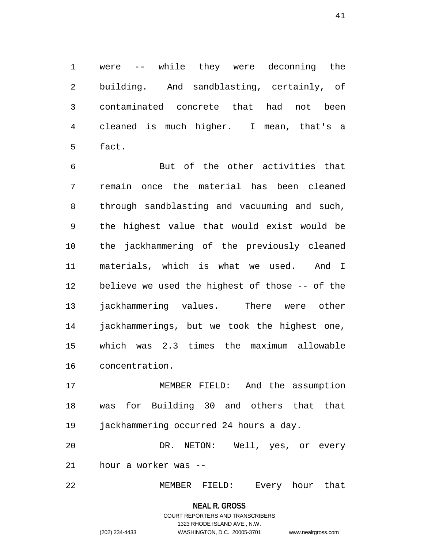1 were -- while they were deconning the 2 building. And sandblasting, certainly, of 3 contaminated concrete that had not been 4 cleaned is much higher. I mean, that's a 5 fact.

6 But of the other activities that 7 remain once the material has been cleaned 8 through sandblasting and vacuuming and such, 9 the highest value that would exist would be 10 the jackhammering of the previously cleaned 11 materials, which is what we used. And I 12 believe we used the highest of those -- of the 13 jackhammering values. There were other 14 jackhammerings, but we took the highest one, 15 which was 2.3 times the maximum allowable 16 concentration.

17 MEMBER FIELD: And the assumption 18 was for Building 30 and others that that 19 jackhammering occurred 24 hours a day.

20 DR. NETON: Well, yes, or every 21 hour a worker was --

22 MEMBER FIELD: Every hour that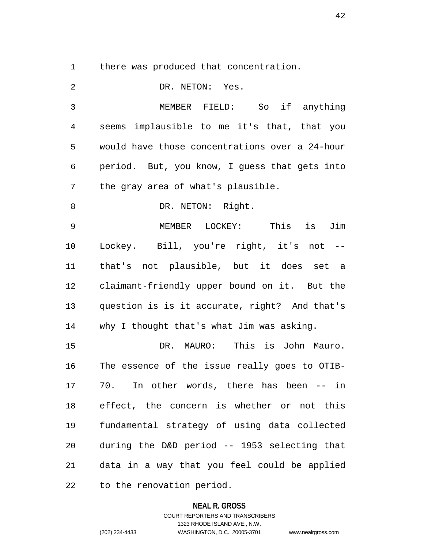1 there was produced that concentration.

| 2  | DR. NETON: Yes.                                |
|----|------------------------------------------------|
| 3  | MEMBER FIELD: So if anything                   |
| 4  | seems implausible to me it's that, that you    |
| 5  | would have those concentrations over a 24-hour |
| 6  | period. But, you know, I guess that gets into  |
| 7  | the gray area of what's plausible.             |
| 8  | DR. NETON: Right.                              |
| 9  | MEMBER LOCKEY: This<br>Jim<br>is               |
| 10 | Lockey. Bill, you're right, it's not --        |
| 11 | that's not plausible, but it does set a        |
| 12 | claimant-friendly upper bound on it. But the   |
| 13 | question is is it accurate, right? And that's  |
| 14 | why I thought that's what Jim was asking.      |
| 15 | DR. MAURO: This is John Mauro.                 |
| 16 | The essence of the issue really goes to OTIB-  |
| 17 | In other words, there has been -- in<br>70.    |
| 18 | effect, the concern is whether or not this     |
| 19 | fundamental strategy of using data collected   |
| 20 | during the D&D period -- 1953 selecting that   |
| 21 | data in a way that you feel could be applied   |
| 22 | to the renovation period.                      |

## **NEAL R. GROSS**

COURT REPORTERS AND TRANSCRIBERS 1323 RHODE ISLAND AVE., N.W. (202) 234-4433 WASHINGTON, D.C. 20005-3701 www.nealrgross.com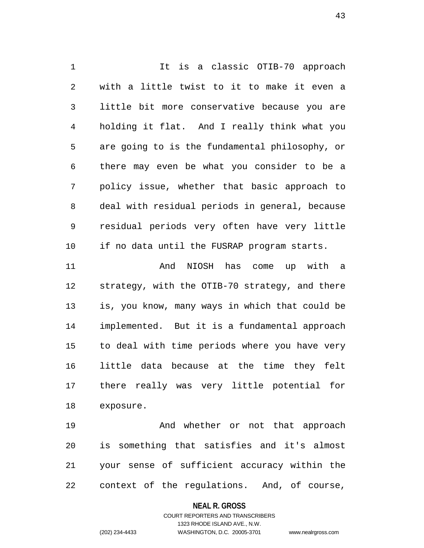1 1 It is a classic OTIB-70 approach 2 with a little twist to it to make it even a 3 little bit more conservative because you are 4 holding it flat. And I really think what you 5 are going to is the fundamental philosophy, or 6 there may even be what you consider to be a 7 policy issue, whether that basic approach to 8 deal with residual periods in general, because 9 residual periods very often have very little 10 if no data until the FUSRAP program starts. 11 And NIOSH has come up with a 12 strategy, with the OTIB-70 strategy, and there 13 is, you know, many ways in which that could be 14 implemented. But it is a fundamental approach

16 little data because at the time they felt 17 there really was very little potential for 18 exposure. 19 And whether or not that approach

15 to deal with time periods where you have very

20 is something that satisfies and it's almost 21 your sense of sufficient accuracy within the 22 context of the regulations. And, of course,

## **NEAL R. GROSS**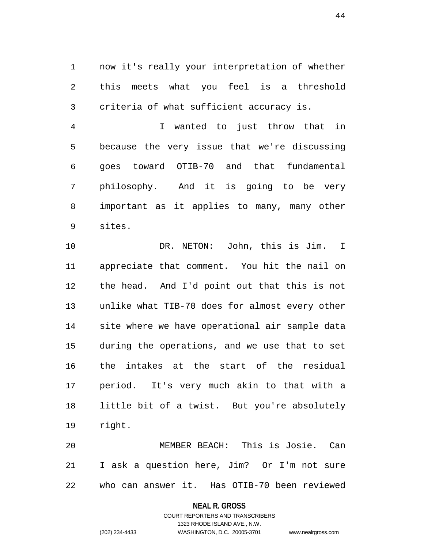1 now it's really your interpretation of whether 2 this meets what you feel is a threshold 3 criteria of what sufficient accuracy is.

4 I wanted to just throw that in 5 because the very issue that we're discussing 6 goes toward OTIB-70 and that fundamental 7 philosophy. And it is going to be very 8 important as it applies to many, many other 9 sites.

10 DR. NETON: John, this is Jim. I 11 appreciate that comment. You hit the nail on 12 the head. And I'd point out that this is not 13 unlike what TIB-70 does for almost every other 14 site where we have operational air sample data 15 during the operations, and we use that to set 16 the intakes at the start of the residual 17 period. It's very much akin to that with a 18 little bit of a twist. But you're absolutely 19 right.

20 MEMBER BEACH: This is Josie. Can 21 I ask a question here, Jim? Or I'm not sure 22 who can answer it. Has OTIB-70 been reviewed

#### **NEAL R. GROSS**

COURT REPORTERS AND TRANSCRIBERS 1323 RHODE ISLAND AVE., N.W. (202) 234-4433 WASHINGTON, D.C. 20005-3701 www.nealrgross.com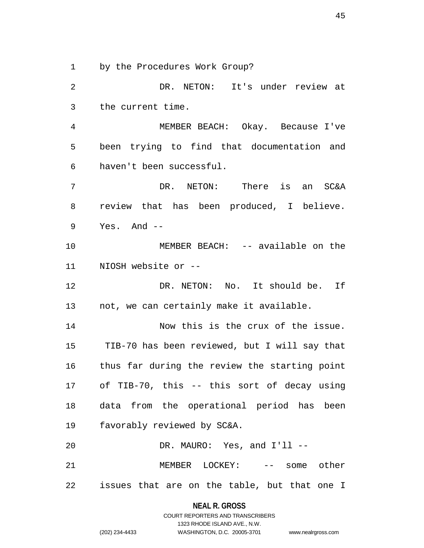1 by the Procedures Work Group?

2 DR. NETON: It's under review at 3 the current time. 4 MEMBER BEACH: Okay. Because I've 5 been trying to find that documentation and 6 haven't been successful. 7 DR. NETON: There is an SC&A 8 review that has been produced, I believe. 9 Yes. And -- 10 MEMBER BEACH: -- available on the 11 NIOSH website or -- 12 DR. NETON: No. It should be. If 13 not, we can certainly make it available. 14 Now this is the crux of the issue. 15 TIB-70 has been reviewed, but I will say that 16 thus far during the review the starting point 17 of TIB-70, this -- this sort of decay using 18 data from the operational period has been 19 favorably reviewed by SC&A. 20 DR. MAURO: Yes, and I'll -- 21 MEMBER LOCKEY: -- some other 22 issues that are on the table, but that one I

> **NEAL R. GROSS** COURT REPORTERS AND TRANSCRIBERS

> > 1323 RHODE ISLAND AVE., N.W.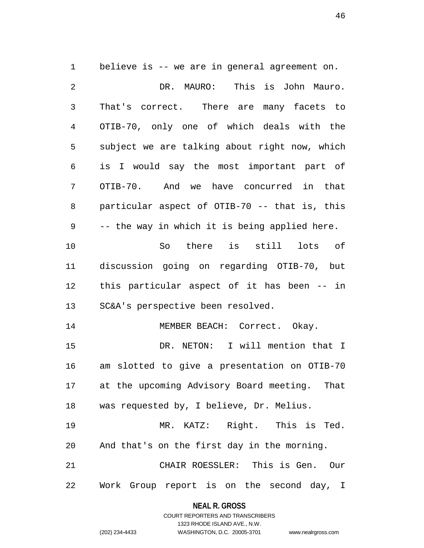1 believe is -- we are in general agreement on. 2 DR. MAURO: This is John Mauro. 3 That's correct. There are many facets to 4 OTIB-70, only one of which deals with the 5 subject we are talking about right now, which 6 is I would say the most important part of 7 OTIB-70. And we have concurred in that 8 particular aspect of OTIB-70 -- that is, this 9 -- the way in which it is being applied here. 10 So there is still lots of 11 discussion going on regarding OTIB-70, but 12 this particular aspect of it has been -- in 13 SC&A's perspective been resolved. 14 MEMBER BEACH: Correct. Okay. 15 DR. NETON: I will mention that I 16 am slotted to give a presentation on OTIB-70 17 at the upcoming Advisory Board meeting. That 18 was requested by, I believe, Dr. Melius. 19 MR. KATZ: Right. This is Ted. 20 And that's on the first day in the morning. 21 CHAIR ROESSLER: This is Gen. Our 22 Work Group report is on the second day, I

> **NEAL R. GROSS** COURT REPORTERS AND TRANSCRIBERS

> > 1323 RHODE ISLAND AVE., N.W.

(202) 234-4433 WASHINGTON, D.C. 20005-3701 www.nealrgross.com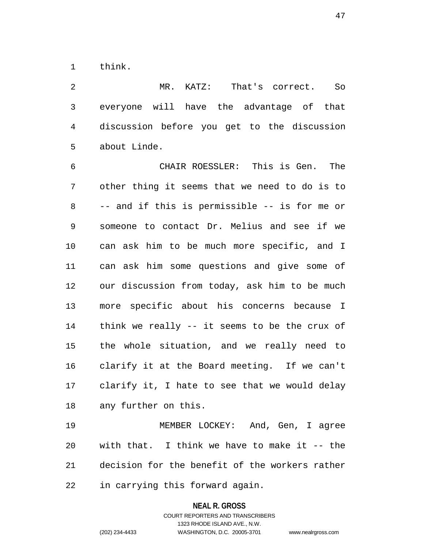1 think.

2 MR. KATZ: That's correct. So 3 everyone will have the advantage of that 4 discussion before you get to the discussion 5 about Linde.

6 CHAIR ROESSLER: This is Gen. The 7 other thing it seems that we need to do is to 8 -- and if this is permissible -- is for me or 9 someone to contact Dr. Melius and see if we 10 can ask him to be much more specific, and I 11 can ask him some questions and give some of 12 our discussion from today, ask him to be much 13 more specific about his concerns because I 14 think we really -- it seems to be the crux of 15 the whole situation, and we really need to 16 clarify it at the Board meeting. If we can't 17 clarify it, I hate to see that we would delay 18 any further on this.

19 MEMBER LOCKEY: And, Gen, I agree 20 with that. I think we have to make it -- the 21 decision for the benefit of the workers rather 22 in carrying this forward again.

**NEAL R. GROSS**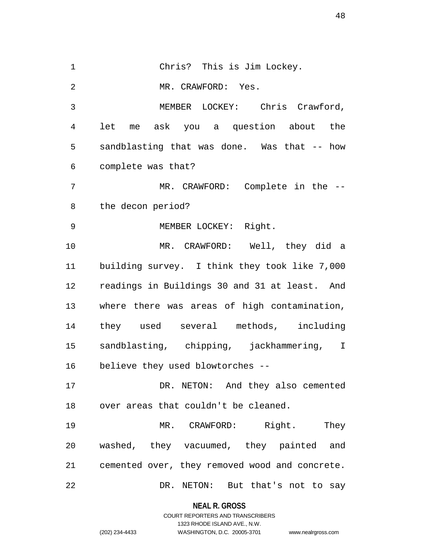1 Chris? This is Jim Lockey. 2 MR. CRAWFORD: Yes. 3 MEMBER LOCKEY: Chris Crawford, 4 let me ask you a question about the 5 sandblasting that was done. Was that -- how 6 complete was that? 7 MR. CRAWFORD: Complete in the --8 the decon period? 9 MEMBER LOCKEY: Right. 10 MR. CRAWFORD: Well, they did a 11 building survey. I think they took like 7,000 12 readings in Buildings 30 and 31 at least. And 13 where there was areas of high contamination, 14 they used several methods, including 15 sandblasting, chipping, jackhammering, I 16 believe they used blowtorches -- 17 DR. NETON: And they also cemented 18 over areas that couldn't be cleaned. 19 MR. CRAWFORD: Right. They 20 washed, they vacuumed, they painted and 21 cemented over, they removed wood and concrete. 22 DR. NETON: But that's not to say

**NEAL R. GROSS**

COURT REPORTERS AND TRANSCRIBERS 1323 RHODE ISLAND AVE., N.W. (202) 234-4433 WASHINGTON, D.C. 20005-3701 www.nealrgross.com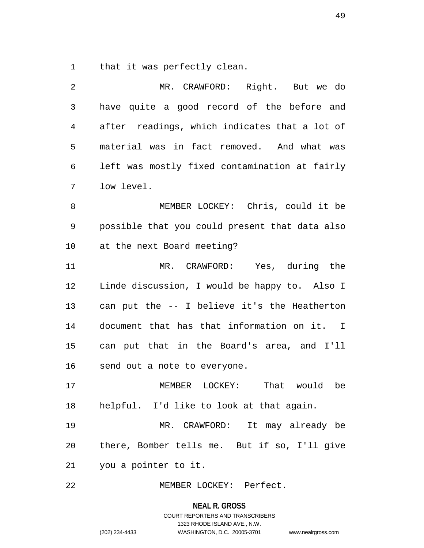1 that it was perfectly clean.

| 2  | MR. CRAWFORD: Right. But we do                 |
|----|------------------------------------------------|
| 3  | have quite a good record of the before and     |
| 4  | after readings, which indicates that a lot of  |
| 5  | material was in fact removed. And what was     |
| 6  | left was mostly fixed contamination at fairly  |
| 7  | low level.                                     |
| 8  | MEMBER LOCKEY: Chris, could it be              |
| 9  | possible that you could present that data also |
| 10 | at the next Board meeting?                     |
| 11 | MR. CRAWFORD: Yes, during the                  |
| 12 | Linde discussion, I would be happy to. Also I  |
| 13 | can put the -- I believe it's the Heatherton   |
| 14 | document that has that information on it. I    |
| 15 | can put that in the Board's area, and I'll     |
| 16 | send out a note to everyone.                   |
| 17 | That would<br>be<br>MEMBER<br>LOCKEY:          |
| 18 | helpful. I'd like to look at that again.       |
| 19 | MR. CRAWFORD: It may already be                |
| 20 | there, Bomber tells me. But if so, I'll give   |
| 21 | you a pointer to it.                           |
| 22 | MEMBER LOCKEY: Perfect.                        |

**NEAL R. GROSS** COURT REPORTERS AND TRANSCRIBERS

1323 RHODE ISLAND AVE., N.W.

(202) 234-4433 WASHINGTON, D.C. 20005-3701 www.nealrgross.com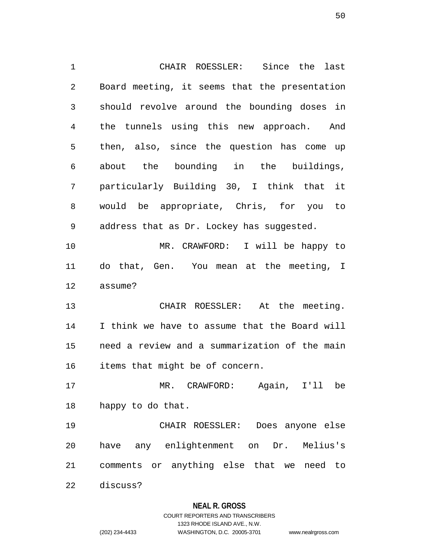1 CHAIR ROESSLER: Since the last 2 Board meeting, it seems that the presentation 3 should revolve around the bounding doses in 4 the tunnels using this new approach. And 5 then, also, since the question has come up 6 about the bounding in the buildings, 7 particularly Building 30, I think that it 8 would be appropriate, Chris, for you to 9 address that as Dr. Lockey has suggested. 10 MR. CRAWFORD: I will be happy to 11 do that, Gen. You mean at the meeting, I 12 assume? 13 CHAIR ROESSLER: At the meeting. 14 I think we have to assume that the Board will 15 need a review and a summarization of the main 16 items that might be of concern. 17 MR. CRAWFORD: Again, I'll be 18 happy to do that. 19 CHAIR ROESSLER: Does anyone else 20 have any enlightenment on Dr. Melius's 21 comments or anything else that we need to 22 discuss?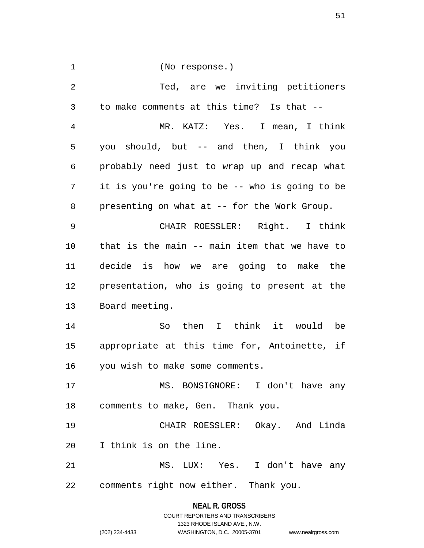| 1              | (No response.)                                 |
|----------------|------------------------------------------------|
| $\overline{2}$ | Ted, are we inviting petitioners               |
| 3              | to make comments at this time? Is that --      |
| 4              | MR. KATZ: Yes. I mean, I think                 |
| 5              | you should, but -- and then, I think you       |
| 6              | probably need just to wrap up and recap what   |
| 7              | it is you're going to be -- who is going to be |
| 8              | presenting on what at -- for the Work Group.   |
| 9              | CHAIR ROESSLER: Right. I think                 |
| 10             | that is the main -- main item that we have to  |
| 11             | decide is how we are going to make the         |
| 12             | presentation, who is going to present at the   |
| 13             | Board meeting.                                 |
| 14             | So then I think it would be                    |
| 15             | appropriate at this time for, Antoinette, if   |
| 16             | you wish to make some comments.                |
| 17             | MS. BONSIGNORE: I don't have any               |
| 18             | comments to make, Gen. Thank you.              |
| 19             | CHAIR ROESSLER: Okay. And Linda                |
| 20             | I think is on the line.                        |
| 21             | MS. LUX: Yes. I don't have any                 |
|                | 22 comments right now either. Thank you.       |

**NEAL R. GROSS** COURT REPORTERS AND TRANSCRIBERS 1323 RHODE ISLAND AVE., N.W. (202) 234-4433 WASHINGTON, D.C. 20005-3701 www.nealrgross.com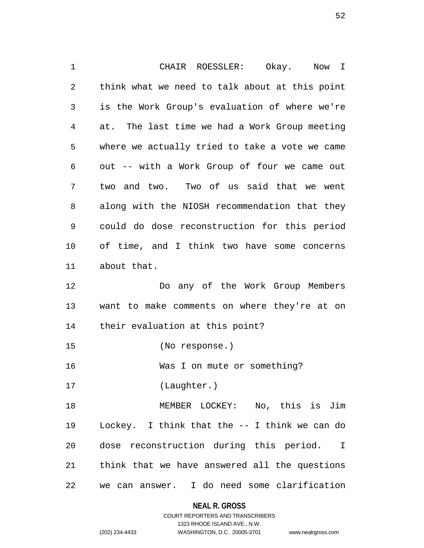1 CHAIR ROESSLER: Okay. Now I 2 think what we need to talk about at this point 3 is the Work Group's evaluation of where we're 4 at. The last time we had a Work Group meeting 5 where we actually tried to take a vote we came 6 out -- with a Work Group of four we came out 7 two and two. Two of us said that we went 8 along with the NIOSH recommendation that they 9 could do dose reconstruction for this period 10 of time, and I think two have some concerns 11 about that. 12 Do any of the Work Group Members 13 want to make comments on where they're at on 14 their evaluation at this point? 15 (No response.) 16 Was I on mute or something? 17 (Laughter.) 18 MEMBER LOCKEY: No, this is Jim 19 Lockey. I think that the -- I think we can do 20 dose reconstruction during this period. I 21 think that we have answered all the questions 22 we can answer. I do need some clarification

> **NEAL R. GROSS** COURT REPORTERS AND TRANSCRIBERS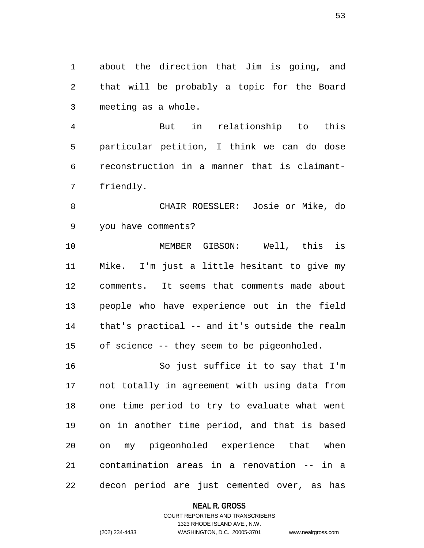1 about the direction that Jim is going, and 2 that will be probably a topic for the Board 3 meeting as a whole.

4 But in relationship to this 5 particular petition, I think we can do dose 6 reconstruction in a manner that is claimant-7 friendly.

8 CHAIR ROESSLER: Josie or Mike, do 9 you have comments?

10 MEMBER GIBSON: Well, this is 11 Mike. I'm just a little hesitant to give my 12 comments. It seems that comments made about 13 people who have experience out in the field 14 that's practical -- and it's outside the realm 15 of science -- they seem to be pigeonholed.

16 So just suffice it to say that I'm 17 not totally in agreement with using data from 18 one time period to try to evaluate what went 19 on in another time period, and that is based 20 on my pigeonholed experience that when 21 contamination areas in a renovation -- in a 22 decon period are just cemented over, as has

## **NEAL R. GROSS**

## COURT REPORTERS AND TRANSCRIBERS 1323 RHODE ISLAND AVE., N.W. (202) 234-4433 WASHINGTON, D.C. 20005-3701 www.nealrgross.com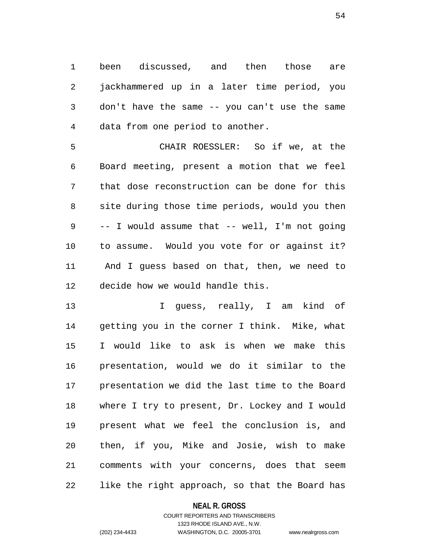1 been discussed, and then those are 2 jackhammered up in a later time period, you 3 don't have the same -- you can't use the same 4 data from one period to another.

5 CHAIR ROESSLER: So if we, at the 6 Board meeting, present a motion that we feel 7 that dose reconstruction can be done for this 8 site during those time periods, would you then 9 -- I would assume that -- well, I'm not going 10 to assume. Would you vote for or against it? 11 And I guess based on that, then, we need to 12 decide how we would handle this.

13 I guess, really, I am kind of 14 getting you in the corner I think. Mike, what 15 I would like to ask is when we make this 16 presentation, would we do it similar to the 17 presentation we did the last time to the Board 18 where I try to present, Dr. Lockey and I would 19 present what we feel the conclusion is, and 20 then, if you, Mike and Josie, wish to make 21 comments with your concerns, does that seem 22 like the right approach, so that the Board has

## **NEAL R. GROSS**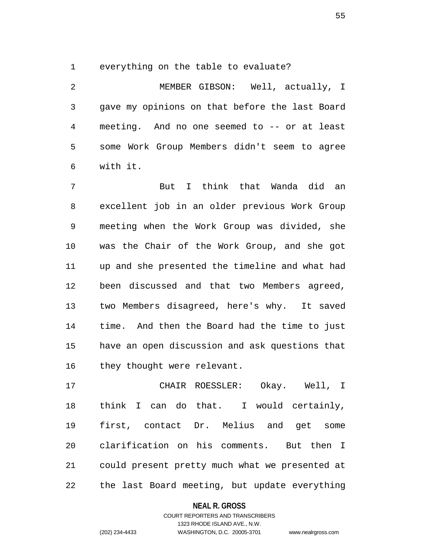1 everything on the table to evaluate?

2 MEMBER GIBSON: Well, actually, I 3 gave my opinions on that before the last Board 4 meeting. And no one seemed to -- or at least 5 some Work Group Members didn't seem to agree 6 with it.

7 But I think that Wanda did an 8 excellent job in an older previous Work Group 9 meeting when the Work Group was divided, she 10 was the Chair of the Work Group, and she got 11 up and she presented the timeline and what had 12 been discussed and that two Members agreed, 13 two Members disagreed, here's why. It saved 14 time. And then the Board had the time to just 15 have an open discussion and ask questions that 16 they thought were relevant.

17 CHAIR ROESSLER: Okay. Well, I 18 think I can do that. I would certainly, 19 first, contact Dr. Melius and get some 20 clarification on his comments. But then I 21 could present pretty much what we presented at 22 the last Board meeting, but update everything

## **NEAL R. GROSS**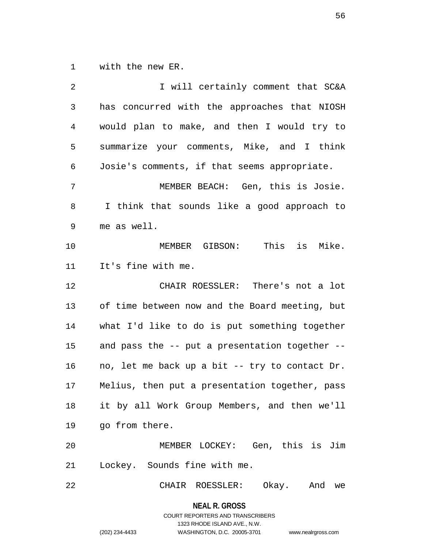1 with the new ER.

2 **I** will certainly comment that SC&A 3 has concurred with the approaches that NIOSH 4 would plan to make, and then I would try to 5 summarize your comments, Mike, and I think 6 Josie's comments, if that seems appropriate. 7 MEMBER BEACH: Gen, this is Josie. 8 I think that sounds like a good approach to 9 me as well. 10 MEMBER GIBSON: This is Mike. 11 It's fine with me. 12 CHAIR ROESSLER: There's not a lot 13 of time between now and the Board meeting, but 14 what I'd like to do is put something together 15 and pass the -- put a presentation together -- 16 no, let me back up a bit -- try to contact Dr. 17 Melius, then put a presentation together, pass 18 it by all Work Group Members, and then we'll 19 go from there. 20 MEMBER LOCKEY: Gen, this is Jim 21 Lockey. Sounds fine with me. 22 CHAIR ROESSLER: Okay. And we

**NEAL R. GROSS**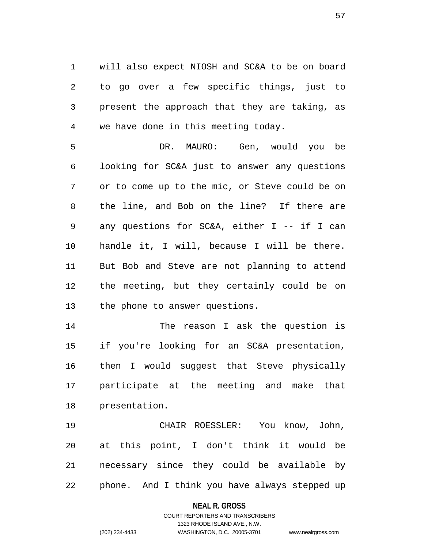1 will also expect NIOSH and SC&A to be on board 2 to go over a few specific things, just to 3 present the approach that they are taking, as 4 we have done in this meeting today.

5 DR. MAURO: Gen, would you be 6 looking for SC&A just to answer any questions 7 or to come up to the mic, or Steve could be on 8 the line, and Bob on the line? If there are 9 any questions for SC&A, either I -- if I can 10 handle it, I will, because I will be there. 11 But Bob and Steve are not planning to attend 12 the meeting, but they certainly could be on 13 the phone to answer questions.

14 The reason I ask the question is 15 if you're looking for an SC&A presentation, 16 then I would suggest that Steve physically 17 participate at the meeting and make that 18 presentation.

19 CHAIR ROESSLER: You know, John, 20 at this point, I don't think it would be 21 necessary since they could be available by 22 phone. And I think you have always stepped up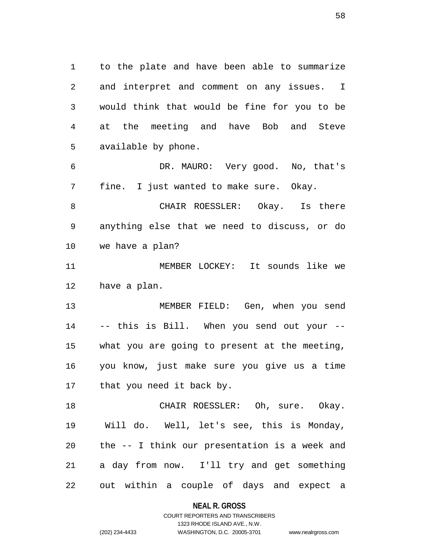1 to the plate and have been able to summarize 2 and interpret and comment on any issues. I 3 would think that would be fine for you to be 4 at the meeting and have Bob and Steve 5 available by phone.

6 DR. MAURO: Very good. No, that's 7 fine. I just wanted to make sure. Okay.

8 CHAIR ROESSLER: Okay. Is there 9 anything else that we need to discuss, or do 10 we have a plan?

11 MEMBER LOCKEY: It sounds like we 12 have a plan.

13 MEMBER FIELD: Gen, when you send 14 -- this is Bill. When you send out your -- 15 what you are going to present at the meeting, 16 you know, just make sure you give us a time 17 that you need it back by.

18 CHAIR ROESSLER: Oh, sure. Okay. 19 Will do. Well, let's see, this is Monday, 20 the -- I think our presentation is a week and 21 a day from now. I'll try and get something 22 out within a couple of days and expect a

**NEAL R. GROSS**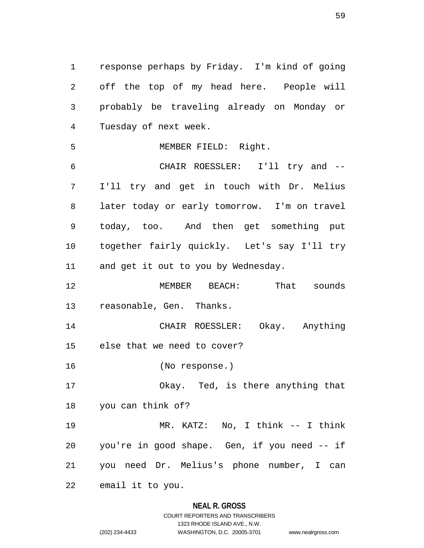1 response perhaps by Friday. I'm kind of going 2 off the top of my head here. People will 3 probably be traveling already on Monday or 4 Tuesday of next week. 5 MEMBER FIELD: Right. 6 CHAIR ROESSLER: I'll try and --

7 I'll try and get in touch with Dr. Melius 8 later today or early tomorrow. I'm on travel 9 today, too. And then get something put 10 together fairly quickly. Let's say I'll try 11 and get it out to you by Wednesday.

12 MEMBER BEACH: That sounds 13 reasonable, Gen. Thanks.

14 CHAIR ROESSLER: Okay. Anything 15 else that we need to cover?

16 (No response.)

17 Okay. Ted, is there anything that 18 you can think of?

19 MR. KATZ: No, I think -- I think 20 you're in good shape. Gen, if you need -- if 21 you need Dr. Melius's phone number, I can

22 email it to you.

## **NEAL R. GROSS** COURT REPORTERS AND TRANSCRIBERS

1323 RHODE ISLAND AVE., N.W. (202) 234-4433 WASHINGTON, D.C. 20005-3701 www.nealrgross.com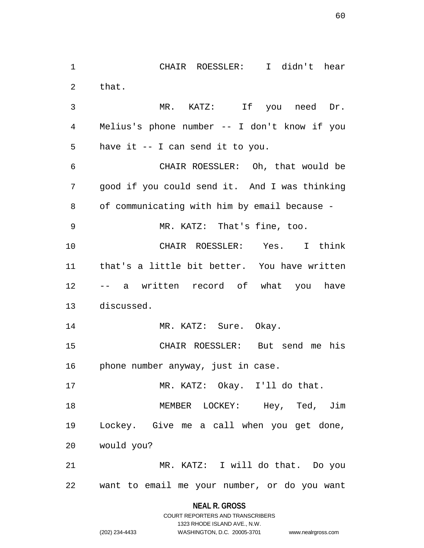1 CHAIR ROESSLER: I didn't hear 2 that. 3 MR. KATZ: If you need Dr. 4 Melius's phone number -- I don't know if you 5 have it -- I can send it to you. 6 CHAIR ROESSLER: Oh, that would be 7 good if you could send it. And I was thinking 8 of communicating with him by email because - 9 MR. KATZ: That's fine, too. 10 CHAIR ROESSLER: Yes. I think 11 that's a little bit better. You have written 12 -- a written record of what you have 13 discussed. 14 MR. KATZ: Sure. Okay. 15 CHAIR ROESSLER: But send me his 16 phone number anyway, just in case. 17 MR. KATZ: Okay. I'll do that. 18 MEMBER LOCKEY: Hey, Ted, Jim 19 Lockey. Give me a call when you get done, 20 would you? 21 MR. KATZ: I will do that. Do you 22 want to email me your number, or do you want

> **NEAL R. GROSS** COURT REPORTERS AND TRANSCRIBERS

> > 1323 RHODE ISLAND AVE., N.W.

(202) 234-4433 WASHINGTON, D.C. 20005-3701 www.nealrgross.com